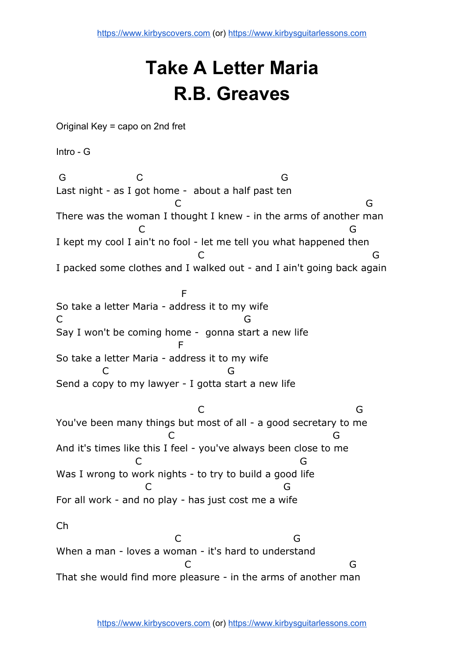## **Take A Letter Maria R.B. Greaves**

Original Key = capo on 2nd fret

Intro - G

 G C G Last night - as I got home - about a half past ten C<sub>2</sub> C<sub>2</sub> G<sub>2</sub> There was the woman I thought I knew - in the arms of another man C G I kept my cool I ain't no fool - let me tell you what happened then C G I packed some clothes and I walked out - and I ain't going back again **Figure 1999** (1999) (Figure 1999) So take a letter Maria - address it to my wife C<sub>G</sub>C G Say I won't be coming home - gonna start a new life **Figure 1999** (Figure 1999) (Figure 1999) So take a letter Maria - address it to my wife C G Send a copy to my lawyer - I gotta start a new life C G You've been many things but most of all - a good secretary to me C G And it's times like this I feel - you've always been close to me C G Was I wrong to work nights - to try to build a good life C G For all work - and no play - has just cost me a wife Ch C<sub>2</sub> G<sub>3</sub> When a man - loves a woman - it's hard to understand C G That she would find more pleasure - in the arms of another man